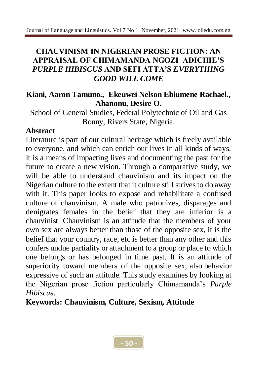## **CHAUVINISM IN NIGERIAN PROSE FICTION: AN APPRAISAL OF CHIMAMANDA NGOZI ADICHIE'S**  *PURPLE HIBISCUS* **AND SEFI ATTA'S** *EVERYTHING GOOD WILL COME*

#### **Kiani, Aaron Tamuno., Ekeuwei Nelson Ebiumene Rachael., Ahanonu, Desire O.**

School of General Studies, Federal Polytechnic of Oil and Gas Bonny, Rivers State, Nigeria.

### **Abstract**

Literature is part of our cultural heritage which is freely available to everyone, and which can enrich our lives in all kinds of ways. It is a means of impacting lives and documenting the past for the future to create a new vision. Through a comparative study, we will be able to understand chauvinism and its impact on the Nigerian culture to the extent that it culture still strives to do away with it. This paper looks to expose and rehabilitate a confused culture of chauvinism. A male who patronizes, disparages and denigrates females in the belief that they are inferior is a chauvinist. Chauvinism is an attitude that the members of your own sex are always better than those of the opposite sex, it is the belief that your country, race, etc is better than any other and this confers undue partiality or attachment to a group or place to which one belongs or has belonged in time past. It is an attitude of superiority toward members of the opposite sex; also behavior expressive of such an attitude. This study examines by looking at the Nigerian prose fiction particularly Chimamanda's *Purple Hibiscus*.

**Keywords: Chauvinism, Culture, Sexism, Attitude**

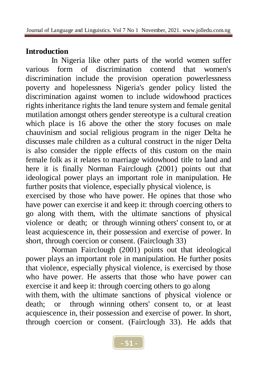# **Introduction**

In Nigeria like other parts of the world women suffer various form of discrimination contend that women's discrimination include the provision operation powerlessness poverty and hopelessness Nigeria's gender policy listed the discrimination against women to include widowhood practices rights inheritance rights the land tenure system and female genital mutilation amongst others gender stereotype is a cultural creation which place is 16 above the other the story focuses on male chauvinism and social religious program in the niger Delta he discusses male children as a cultural construct in the niger Delta is also consider the ripple effects of this custom on the main female folk as it relates to marriage widowhood title to land and here it is finally Norman Fairclough (2001) points out that ideological power plays an important role in manipulation. He further posits that violence, especially physical violence, is exercised by those who have power. He opines that those who have power can exercise it and keep it: through coercing others to go along with them, with the ultimate sanctions of physical violence or death; or through winning others' consent to, or at least acquiescence in, their possession and exercise of power. In

Norman Fairclough (2001) points out that ideological power plays an important role in manipulation. He further posits that violence, especially physical violence, is exercised by those who have power. He asserts that those who have power can exercise it and keep it: through coercing others to go along with them, with the ultimate sanctions of physical violence or death; or through winning others' consent to, or at least acquiescence in, their possession and exercise of power. In short, through coercion or consent. (Fairclough 33). He adds that

short, through coercion or consent. (Fairclough 33)

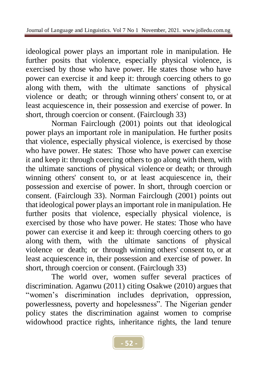ideological power plays an important role in manipulation. He further posits that violence, especially physical violence, is exercised by those who have power. He states those who have power can exercise it and keep it: through coercing others to go along with them, with the ultimate sanctions of physical violence or death; or through winning others' consent to, or at least acquiescence in, their possession and exercise of power. In short, through coercion or consent. (Fairclough 33)

Norman Fairclough (2001) points out that ideological power plays an important role in manipulation. He further posits that violence, especially physical violence, is exercised by those who have power. He states: Those who have power can exercise it and keep it: through coercing others to go along with them, with the ultimate sanctions of physical violence or death; or through winning others' consent to, or at least acquiescence in, their possession and exercise of power. In short, through coercion or consent. (Fairclough 33). Norman Fairclough (2001) points out that ideological power plays an important role in manipulation. He further posits that violence, especially physical violence, is exercised by those who have power. He states: Those who have power can exercise it and keep it: through coercing others to go along with them, with the ultimate sanctions of physical violence or death; or through winning others' consent to, or at least acquiescence in, their possession and exercise of power. In short, through coercion or consent. (Fairclough 33)

The world over, women suffer several practices of discrimination. Aganwu (2011) citing Osakwe (2010) argues that "women's discrimination includes deprivation, oppression, powerlessness, poverty and hopelessness". The Nigerian gender policy states the discrimination against women to comprise widowhood practice rights, inheritance rights, the land tenure

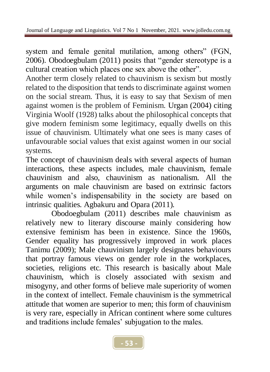system and female genital mutilation, among others" (FGN, 2006). Obodoegbulam (2011) posits that "gender stereotype is a cultural creation which places one sex above the other".

Another term closely related to chauvinism is sexism but mostly related to the disposition that tends to discriminate against women on the social stream. Thus, it is easy to say that Sexism of men against women is the problem of Feminism. Urgan (2004) citing Virginia Woolf (1928) talks about the philosophical concepts that give modern feminism some legitimacy, equally dwells on this issue of chauvinism. Ultimately what one sees is many cases of unfavourable social values that exist against women in our social systems.

The concept of chauvinism deals with several aspects of human interactions, these aspects includes, male chauvinism, female chauvinism and also, chauvinism as nationalism. All the arguments on male chauvinism are based on extrinsic factors while women's indispensability in the society are based on intrinsic qualities. Agbakuru and Opara (2011).

Obodoegbulam (2011) describes male chauvinism as relatively new to literary discourse mainly considering how extensive feminism has been in existence. Since the 1960s, Gender equality has progressively improved in work places Tanimu (2009); Male chauvinism largely designates behaviours that portray famous views on gender role in the workplaces, societies, religions etc. This research is basically about Male chauvinism, which is closely associated with sexism and misogyny, and other forms of believe male superiority of women in the context of intellect. Female chauvinism is the symmetrical attitude that women are superior to men; this form of chauvinism is very rare, especially in African continent where some cultures and traditions include females' subjugation to the males.

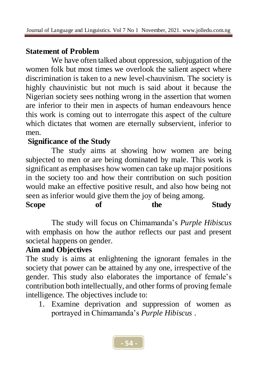# **Statement of Problem**

We have often talked about oppression, subjugation of the women folk but most times we overlook the salient aspect where discrimination is taken to a new level-chauvinism. The society is highly chauvinistic but not much is said about it because the Nigerian society sees nothing wrong in the assertion that women are inferior to their men in aspects of human endeavours hence this work is coming out to interrogate this aspect of the culture which dictates that women are eternally subservient, inferior to men.

### **Significance of the Study**

The study aims at showing how women are being subjected to men or are being dominated by male. This work is significant as emphasises how women can take up major positions in the society too and how their contribution on such position would make an effective positive result, and also how being not seen as inferior would give them the joy of being among.

| <b>Scope</b> | of | the | <b>Study</b> |
|--------------|----|-----|--------------|
|              |    |     |              |

The study will focus on Chimamanda's *Purple Hibiscus* with emphasis on how the author reflects our past and present societal happens on gender.

# **Aim and Objectives**

The study is aims at enlightening the ignorant females in the society that power can be attained by any one, irrespective of the gender. This study also elaborates the importance of female's contribution both intellectually, and other forms of proving female intelligence. The objectives include to:

1. Examine deprivation and suppression of women as portrayed in Chimamanda's *Purple Hibiscus* .

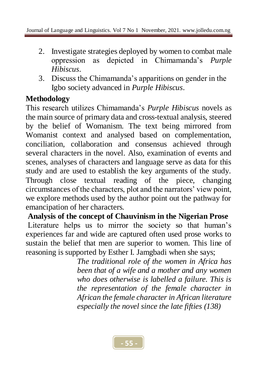- 2. Investigate strategies deployed by women to combat male oppression as depicted in Chimamanda's *Purple Hibiscus*.
- 3. Discuss the Chimamanda's apparitions on gender in the Igbo society advanced in *Purple Hibiscus*.

# **Methodology**

This research utilizes Chimamanda's *Purple Hibiscus* novels as the main source of primary data and cross-textual analysis, steered by the belief of Womanism. The text being mirrored from Womanist context and analysed based on complementation, conciliation, collaboration and consensus achieved through several characters in the novel. Also, examination of events and scenes, analyses of characters and language serve as data for this study and are used to establish the key arguments of the study. Through close textual reading of the piece, changing circumstances of the characters, plot and the narrators' view point, we explore methods used by the author point out the pathway for emancipation of her characters.

**Analysis of the concept of Chauvinism in the Nigerian Prose** Literature helps us to mirror the society so that human's experiences far and wide are captured often used prose works to sustain the belief that men are superior to women. This line of reasoning is supported by Esther I. Jamgbadi when she says;

*The traditional role of the women in Africa has been that of a wife and a mother and any women who does otherwise is labelled a failure. This is the representation of the female character in African the female character in African literature especially the novel since the late fifties (138)* 

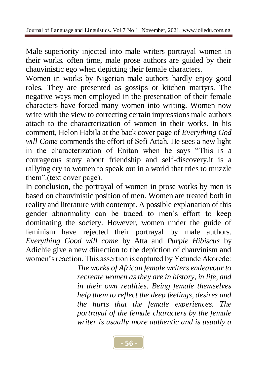Male superiority injected into male writers portrayal women in their works. often time, male prose authors are guided by their chauvinistic ego when depicting their female characters.

Women in works by Nigerian male authors hardly enjoy good roles. They are presented as gossips or kitchen martyrs. The negative ways men employed in the presentation of their female characters have forced many women into writing. Women now write with the view to correcting certain impressions male authors attach to the characterization of women in their works. In his comment, Helon Habila at the back cover page of *Everything God will Come* commends the effort of Sefi Attah. He sees a new light in the characterization of Enitan when he says "This is a courageous story about friendship and self-discovery.it is a rallying cry to women to speak out in a world that tries to muzzle them".(text cover page).

In conclusion, the portrayal of women in prose works by men is based on chauvinistic position of men. Women are treated both in reality and literature with contempt. A possible explanation of this gender abnormality can be traced to men's effort to keep dominating the society. However, women under the guide of feminism have rejected their portrayal by male authors. *Everything Good will come* by Atta and *Purple Hibiscus* by Adichie give a new diirection to the depiction of chauvinism and women's reaction. This assertion is captured by Yetunde Akorede:

*The works of African female writers endeavour to recreate women as they are in history, in life, and in their own realities. Being female themselves help them to reflect the deep feelings, desires and the hurts that the female experiences. The portrayal of the female characters by the female writer is usually more authentic and is usually a* 

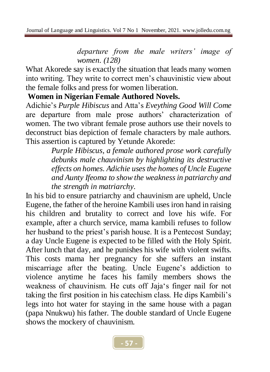*departure from the male writers' image of women. (128)*

What Akorede say is exactly the situation that leads many women into writing. They write to correct men's chauvinistic view about the female folks and press for women liberation.

#### **Women in Nigerian Female Authored Novels.**

Adichie's *Purple Hibiscus* and Atta's *Eveything Good Will Come* are departure from male prose authors' characterization of women. The two vibrant female prose authors use their novels to deconstruct bias depiction of female characters by male authors. This assertion is captured by Yetunde Akorede:

> *Purple Hibiscus, a female authored prose work carefully debunks male chauvinism by highlighting its destructive effects on homes. Adichie uses the homes of Uncle Eugene and Aunty Ifeoma to show the weakness in patriarchy and the strength in matriarchy.*

In his bid to ensure patriarchy and chauvinism are upheld, Uncle Eugene, the father of the heroine Kambili uses iron hand in raising his children and brutality to correct and love his wife. For example, after a church service, mama kambili refuses to follow her husband to the priest's parish house. It is a Pentecost Sunday; a day Uncle Eugene is expected to be filled with the Holy Spirit. After lunch that day, and he punishes his wife with violent swifts. This costs mama her pregnancy for she suffers an instant miscarriage after the beating. Uncle Eugene's addiction to violence anytime he faces his family members shows the weakness of chauvinism. He cuts off Jaja's finger nail for not taking the first position in his catechism class. He dips Kambili's legs into hot water for staying in the same house with a pagan (papa Nnukwu) his father. The double standard of Uncle Eugene shows the mockery of chauvinism.

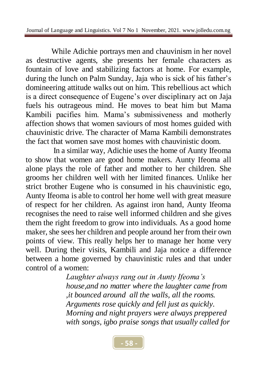While Adichie portrays men and chauvinism in her novel as destructive agents, she presents her female characters as fountain of love and stabilizing factors at home. For example, during the lunch on Palm Sunday, Jaja who is sick of his father's domineering attitude walks out on him. This rebellious act which is a direct consequence of Eugene's over disciplinary act on Jaja fuels his outrageous mind. He moves to beat him but Mama Kambili pacifies him. Mama's submissiveness and motherly affection shows that women saviours of most homes guided with chauvinistic drive. The character of Mama Kambili demonstrates the fact that women save most homes with chauvinistic doom.

In a similar way, Adichie uses the home of Aunty Ifeoma to show that women are good home makers. Aunty Ifeoma all alone plays the role of father and mother to her children. She grooms her children well with her limited finances. Unlike her strict brother Eugene who is consumed in his chauvinistic ego, Aunty Ifeoma is able to control her home well with great measure of respect for her children. As against iron hand, Aunty Ifeoma recognises the need to raise well informed children and she gives them the right freedom to grow into individuals. As a good home maker, she sees her children and people around her from their own points of view. This really helps her to manage her home very well. During their visits, Kambili and Jaja notice a difference between a home governed by chauvinistic rules and that under control of a women:

> *Laughter always rang out in Aunty Ifeoma's house,and no matter where the laughter came from ,it bounced around all the walls, all the rooms. Arguments rose quickly and fell just as quickly. Morning and night prayers were always preppered with songs, igbo praise songs that usually called for*

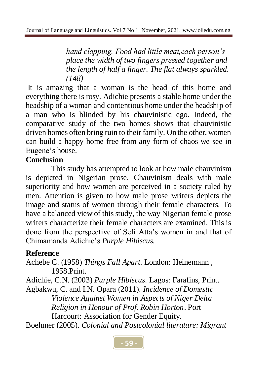*hand clapping. Food had little meat,each person's place the width of two fingers pressed together and the length of half a finger. The flat always sparkled. (148)*

It is amazing that a woman is the head of this home and everything there is rosy. Adichie presents a stable home under the headship of a woman and contentious home under the headship of a man who is blinded by his chauvinistic ego. Indeed, the comparative study of the two homes shows that chauvinistic driven homes often bring ruin to their family. On the other, women can build a happy home free from any form of chaos we see in Eugene's house.

# **Conclusion**

This study has attempted to look at how male chauvinism is depicted in Nigerian prose. Chauvinism deals with male superiority and how women are perceived in a society ruled by men. Attention is given to how male prose writers depicts the image and status of women through their female characters. To have a balanced view of this study, the way Nigerian female prose writers characterize their female characters are examined. This is done from the perspective of Sefi Atta's women in and that of Chimamanda Adichie's *Purple Hibiscus.*

# **Reference**

Achebe C. (1958) *Things Fall Apart*. London: Heinemann , 1958.Print.

Adichie, C.N. (2003) *Purple Hibiscus.* Lagos: Farafins, Print.

Agbakwu, C. and I.N. Opara (2011). *Incidence of Domestic Violence Against Women in Aspects of Niger Delta Religion in Honour of Prof. Robin Horton*. Port Harcourt: Association for Gender Equity.

Boehmer (2005). *Colonial and Postcolonial literature: Migrant*